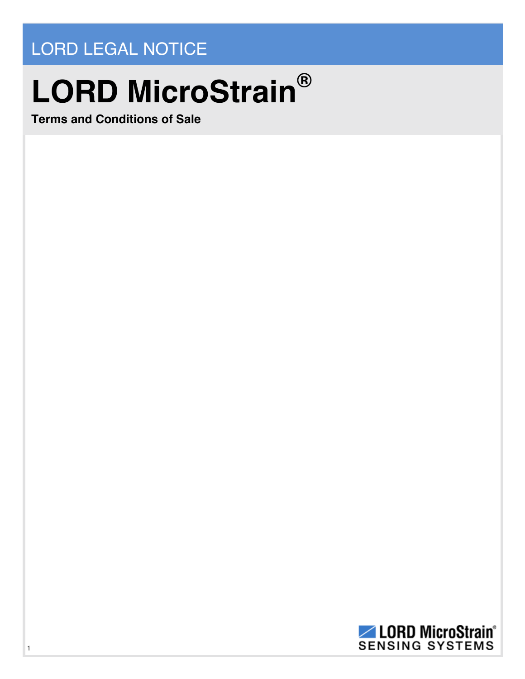## LORD LEGAL NOTICE

## **LORD MicroStrain®**

**Terms and Conditions of Sale**

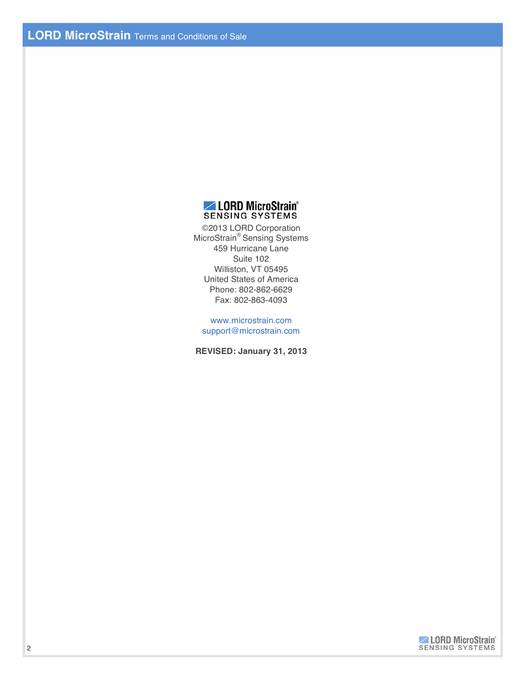

©2013 LORD Corporation MicroStrain® Sensing Systems 459 Hurricane Lane Suite 102 Williston, VT 05495 United States of America Phone: 802-862-6629 Fax: 802-863-4093

www.microstrain.com support@microstrain.com

**REVISED: January 31, 2013**

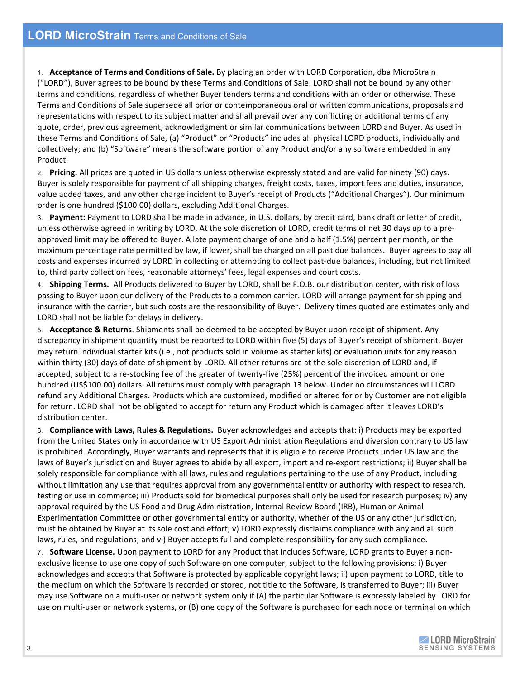1. **Acceptance of Terms and Conditions of Sale.** By placing an order with LORD Corporation, dba MicroStrain ("LORD"), Buyer agrees to be bound by these Terms and Conditions of Sale. LORD shall not be bound by any other terms and conditions, regardless of whether Buyer tenders terms and conditions with an order or otherwise. These Terms and Conditions of Sale supersede all prior or contemporaneous oral or written communications, proposals and representations with respect to its subject matter and shall prevail over any conflicting or additional terms of any quote, order, previous agreement, acknowledgment or similar communications between LORD and Buyer. As used in these Terms and Conditions of Sale, (a) "Product" or "Products" includes all physical LORD products, individually and collectively; and (b) "Software" means the software portion of any Product and/or any software embedded in any Product.

2. Pricing. All prices are quoted in US dollars unless otherwise expressly stated and are valid for ninety (90) days. Buyer is solely responsible for payment of all shipping charges, freight costs, taxes, import fees and duties, insurance, value added taxes, and any other charge incident to Buyer's receipt of Products ("Additional Charges"). Our minimum order is one hundred (\$100.00) dollars, excluding Additional Charges.

3. Payment: Payment to LORD shall be made in advance, in U.S. dollars, by credit card, bank draft or letter of credit, unless otherwise agreed in writing by LORD. At the sole discretion of LORD, credit terms of net 30 days up to a preapproved limit may be offered to Buyer. A late payment charge of one and a half (1.5%) percent per month, or the maximum percentage rate permitted by law, if lower, shall be charged on all past due balances. Buyer agrees to pay all costs and expenses incurred by LORD in collecting or attempting to collect past-due balances, including, but not limited to, third party collection fees, reasonable attorneys' fees, legal expenses and court costs.

4. **Shipping Terms.** All Products delivered to Buyer by LORD, shall be F.O.B. our distribution center, with risk of loss passing to Buyer upon our delivery of the Products to a common carrier. LORD will arrange payment for shipping and insurance with the carrier, but such costs are the responsibility of Buyer. Delivery times quoted are estimates only and LORD shall not be liable for delays in delivery.

5. **Acceptance & Returns**. Shipments shall be deemed to be accepted by Buyer upon receipt of shipment. Any discrepancy in shipment quantity must be reported to LORD within five (5) days of Buyer's receipt of shipment. Buyer may return individual starter kits (i.e., not products sold in volume as starter kits) or evaluation units for any reason within thirty (30) days of date of shipment by LORD. All other returns are at the sole discretion of LORD and, if accepted, subject to a re-stocking fee of the greater of twenty-five (25%) percent of the invoiced amount or one hundred (US\$100.00) dollars. All returns must comply with paragraph 13 below. Under no circumstances will LORD refund any Additional Charges. Products which are customized, modified or altered for or by Customer are not eligible for return. LORD shall not be obligated to accept for return any Product which is damaged after it leaves LORD's distribution center.

6. **Compliance with\$Laws, Rules\$& Regulations.** Buyer acknowledges and#accepts that: i) Products may be exported from the United States only in accordance with US Export Administration Regulations and diversion contrary to US law is prohibited. Accordingly, Buyer warrants and represents that it is eligible to receive Products under US law and the laws of Buyer's jurisdiction and Buyer agrees to abide by all export, import and re-export restrictions; ii) Buyer shall be solely responsible for compliance with all laws, rules and regulations pertaining to the use of any Product, including without limitation any use that requires approval from any governmental entity or authority with respect to research, testing or use in commerce; iii) Products sold for biomedical purposes shall only be used for research purposes; iv) any approval required by the US Food and Drug Administration, Internal Review Board (IRB), Human or Animal Experimentation Committee or other governmental entity or authority, whether of the US or any other jurisdiction, must be obtained by Buyer at its sole cost and effort; v) LORD expressly disclaims compliance with any and all such laws, rules, and regulations; and vi) Buyer accepts full and complete responsibility for any such compliance.

7. **Software License.** Upon payment to LORD for any Product that includes Software, LORD grants to Buyer a nonexclusive license to use one copy of such Software on one computer, subject to the following provisions: i) Buyer acknowledges and accepts that Software is protected by applicable copyright laws; ii) upon payment to LORD, title to the medium on which the Software is recorded or stored, not title to the Software, is transferred to Buyer; iii) Buyer may use Software on a multi-user or network system only if (A) the particular Software is expressly labeled by LORD for use on multi-user or network systems, or (B) one copy of the Software is purchased for each node or terminal on which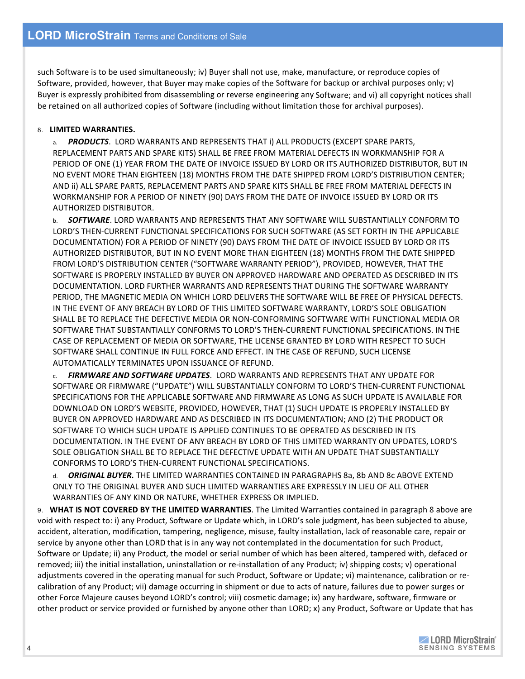such Software is to be used simultaneously; iv) Buyer shall not use, make, manufacture, or reproduce copies of Software, provided, however, that Buyer may make copies of the Software for backup or archival purposes only; v) Buyer is expressly prohibited from disassembling or reverse engineering any Software; and vi) all copyright notices shall be retained on all authorized copies of Software (including without limitation those for archival purposes).

## 8. **LIMITED WARRANTIES.**

a. *PRODUCTS*. LORD WARRANTS AND REPRESENTS THAT i) ALL PRODUCTS (EXCEPT SPARE PARTS, REPLACEMENT PARTS AND SPARE KITS) SHALL BE FREE FROM MATERIAL DEFECTS IN WORKMANSHIP FOR A PERIOD OF ONE (1) YEAR FROM THE DATE OF INVOICE ISSUED BY LORD OR ITS AUTHORIZED DISTRIBUTOR, BUT IN NO EVENT MORE THAN EIGHTEEN (18) MONTHS FROM THE DATE SHIPPED FROM LORD'S DISTRIBUTION CENTER; AND II) ALL SPARE PARTS, REPLACEMENT PARTS AND SPARE KITS SHALL BE FREE FROM MATERIAL DEFECTS IN WORKMANSHIP FOR A PERIOD OF NINETY (90) DAYS FROM THE DATE OF INVOICE ISSUED BY LORD OR ITS AUTHORIZED DISTRIBUTOR.

b. **SOFTWARE**. LORD WARRANTS AND REPRESENTS THAT ANY SOFTWARE WILL SUBSTANTIALLY CONFORM TO LORD'S THEN-CURRENT FUNCTIONAL SPECIFICATIONS FOR SUCH SOFTWARE (AS SET FORTH IN THE APPLICABLE DOCUMENTATION) FOR A PERIOD OF NINETY (90) DAYS FROM THE DATE OF INVOICE ISSUED BY LORD OR ITS AUTHORIZED DISTRIBUTOR, BUT IN NO EVENT MORE THAN EIGHTEEN (18) MONTHS FROM THE DATE SHIPPED FROM LORD'S DISTRIBUTION CENTER ("SOFTWARE WARRANTY PERIOD"), PROVIDED, HOWEVER, THAT THE SOFTWARE IS PROPERLY INSTALLED BY BUYER ON APPROVED HARDWARE AND OPERATED AS DESCRIBED IN ITS DOCUMENTATION.#LORD FURTHER WARRANTS AND REPRESENTS THAT DURING THE SOFTWARE WARRANTY PERIOD, THE MAGNETIC MEDIA ON WHICH LORD DELIVERS THE SOFTWARE WILL BE FREE OF PHYSICAL DEFECTS. IN THE EVENT OF ANY BREACH BY LORD OF THIS LIMITED SOFTWARE WARRANTY, LORD'S SOLE OBLIGATION SHALL BE TO REPLACE THE DEFECTIVE MEDIA OR NON-CONFORMING SOFTWARE WITH FUNCTIONAL MEDIA OR SOFTWARE THAT SUBSTANTIALLY CONFORMS TO LORD'S THEN-CURRENT FUNCTIONAL SPECIFICATIONS. IN THE CASE OF REPLACEMENT OF MEDIA OR SOFTWARE, THE LICENSE GRANTED BY LORD WITH RESPECT TO SUCH SOFTWARE SHALL CONTINUE IN FULL FORCE AND EFFECT. IN THE CASE OF REFUND, SUCH LICENSE AUTOMATICALLY TERMINATES UPON ISSUANCE OF REFUND.

c. *FIRMWARE AND SOFTWARE UPDATES*. LORD#WARRANTS#AND#REPRESENTS THAT ANY UPDATE FOR SOFTWARE OR FIRMWARE ("UPDATE") WILL SUBSTANTIALLY CONFORM TO LORD'S THEN-CURRENT FUNCTIONAL SPECIFICATIONS FOR THE APPLICABLE SOFTWARE AND FIRMWARE AS LONG AS SUCH UPDATE IS AVAILABLE FOR DOWNLOAD ON LORD'S WEBSITE, PROVIDED, HOWEVER, THAT (1) SUCH UPDATE IS PROPERLY INSTALLED BY BUYER ON APPROVED HARDWARE AND AS DESCRIBED IN ITS DOCUMENTATION; AND (2) THE PRODUCT OR SOFTWARE TO WHICH SUCH UPDATE IS APPLIED CONTINUES TO BE OPERATED AS DESCRIBED IN ITS DOCUMENTATION. IN THE EVENT OF ANY BREACH BY LORD OF THIS LIMITED WARRANTY ON UPDATES, LORD'S SOLE OBLIGATION SHALL BE TO REPLACE THE DEFECTIVE UPDATE WITH AN UPDATE THAT SUBSTANTIALLY CONFORMS TO LORD'S THEN-CURRENT FUNCTIONAL SPECIFICATIONS.

d. **ORIGINAL BUYER.** THE LIMITED WARRANTIES CONTAINED IN PARAGRAPHS 8a, 8b AND 8c ABOVE EXTEND ONLY TO THE ORIGINAL BUYER AND SUCH LIMITED WARRANTIES ARE EXPRESSLY IN LIEU OF ALL OTHER WARRANTIES OF ANY KIND OR NATURE, WHETHER EXPRESS OR IMPLIED.

9. **WHAT IS NOT COVERED BY THE LIMITED WARRANTIES. The Limited Warranties contained in paragraph 8 above are** void with respect to: i) any Product, Software or Update which, in LORD's sole judgment, has been subjected to abuse, accident, alteration, modification, tampering, negligence, misuse, faulty installation, lack of reasonable care, repair or service by anyone other than LORD that is in any way not contemplated in the documentation for such Product, Software or Update; ii) any Product, the model or serial number of which has been altered, tampered with, defaced or removed; iii) the initial installation, uninstallation or re-installation of any Product; iv) shipping costs; v) operational adjustments covered in the operating manual for such Product, Software or Update; vi) maintenance, calibration or recalibration of any Product; vii) damage occurring in shipment or due to acts of nature, failures due to power surges or other Force Majeure causes beyond LORD's control; viii) cosmetic damage; ix) any hardware, software, firmware or other product or service provided or furnished by anyone other than LORD; x) any Product, Software or Update that has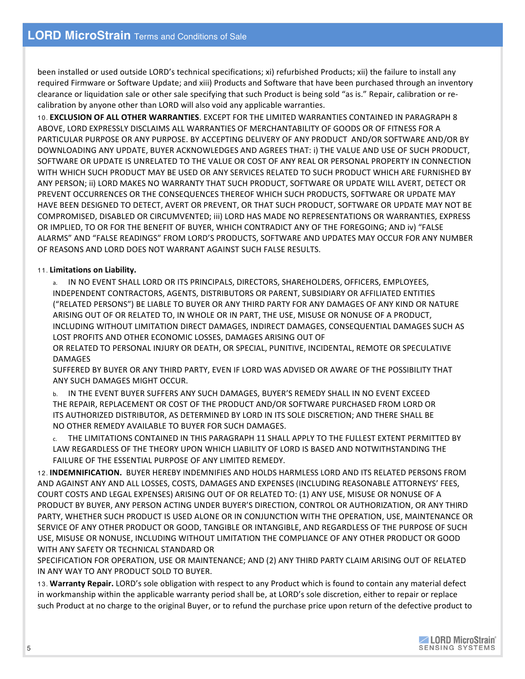been installed or used outside LORD's technical specifications; xi) refurbished Products; xii) the failure to install any required Firmware or Software Update; and xiii) Products and Software that have been purchased through an inventory clearance or liquidation sale or other sale specifying that such Product is being sold "as is." Repair, calibration or recalibration by anyone other than LORD will also void any applicable warranties.

10. **EXCLUSION OF\$ALL OTHER WARRANTIES**.#EXCEPT FOR THE LIMITED WARRANTIES CONTAINED#IN PARAGRAPH 8 ABOVE, LORD EXPRESSLY DISCLAIMS ALL WARRANTIES OF MERCHANTABILITY OF GOODS OR OF FITNESS FOR A PARTICULAR PURPOSE OR ANY PURPOSE. BY ACCEPTING DELIVERY OF ANY PRODUCT AND/OR SOFTWARE AND/OR BY DOWNLOADING ANY UPDATE, BUYER ACKNOWLEDGES AND AGREES THAT: i) THE VALUE AND USE OF SUCH PRODUCT, SOFTWARE OR UPDATE IS UNRELATED TO THE VALUE OR COST OF ANY REAL OR PERSONAL PROPERTY IN CONNECTION WITH WHICH SUCH PRODUCT MAY BE USED OR ANY SERVICES RELATED TO SUCH PRODUCT WHICH ARE FURNISHED BY ANY PERSON; ii) LORD MAKES NO WARRANTY THAT SUCH PRODUCT, SOFTWARE OR UPDATE WILL AVERT, DETECT OR PREVENT OCCURRENCES OR THE CONSEQUENCES THEREOF WHICH SUCH PRODUCTS, SOFTWARE OR UPDATE MAY HAVE BEEN DESIGNED TO DETECT, AVERT OR PREVENT, OR THAT SUCH PRODUCT, SOFTWARE OR UPDATE MAY NOT BE COMPROMISED, DISABLED OR CIRCUMVENTED; iii) LORD HAS MADE NO REPRESENTATIONS OR WARRANTIES, EXPRESS OR IMPLIED, TO OR FOR THE BENEFIT OF BUYER, WHICH CONTRADICT ANY OF THE FOREGOING; AND IV) "FALSE ALARMS" AND "FALSE READINGS" FROM LORD'S PRODUCTS, SOFTWARE AND UPDATES MAY OCCUR FOR ANY NUMBER OF REASONS AND LORD DOES NOT WARRANT AGAINST SUCH FALSE RESULTS.

## 11. Limitations on Liability.

IN NO EVENT SHALL LORD OR ITS PRINCIPALS, DIRECTORS, SHAREHOLDERS, OFFICERS, EMPLOYEES, INDEPENDENT CONTRACTORS, AGENTS, DISTRIBUTORS OR PARENT, SUBSIDIARY OR AFFILIATED ENTITIES ("RELATED PERSONS") BE LIABLE TO BUYER OR ANY THIRD PARTY FOR ANY DAMAGES OF ANY KIND OR NATURE ARISING OUT OF OR RELATED TO, IN WHOLE OR IN PART, THE USE, MISUSE OR NONUSE OF A PRODUCT, INCLUDING WITHOUT LIMITATION DIRECT DAMAGES, INDIRECT#DAMAGES, CONSEQUENTIAL DAMAGES SUCH AS LOST PROFITS AND OTHER ECONOMIC LOSSES, DAMAGES ARISING OUT OF

OR RELATED TO PERSONAL INJURY OR DEATH, OR SPECIAL, PUNITIVE, INCIDENTAL, REMOTE OR SPECULATIVE DAMAGES

SUFFERED BY BUYER OR ANY THIRD PARTY, EVEN IF LORD WAS ADVISED OR AWARE OF THE POSSIBILITY THAT ANY SUCH DAMAGES MIGHT OCCUR.

b. IN THE EVENT BUYER SUFFERS ANY SUCH DAMAGES, BUYER'S REMEDY SHALL IN NO EVENT EXCEED THE REPAIR, REPLACEMENT OR COST OF THE PRODUCT AND/OR SOFTWARE PURCHASED FROM LORD OR ITS AUTHORIZED DISTRIBUTOR, AS DETERMINED BY LORD IN ITS SOLE DISCRETION; AND THERE SHALL BE NO OTHER REMEDY AVAILABLE TO BUYER FOR SUCH DAMAGES.

c. THE LIMITATIONS CONTAINED IN THIS PARAGRAPH 11 SHALL APPLY TO THE FULLEST EXTENT PERMITTED BY LAW REGARDLESS OF THE THEORY UPON WHICH LIABILITY OF LORD IS BASED AND NOTWITHSTANDING THE FAILURE OF THE ESSENTIAL PURPOSE OF ANY LIMITED REMEDY.

12. **INDEMNIFICATION.** BUYER HEREBY INDEMNIFIES AND HOLDS HARMLESS LORD AND ITS RELATED PERSONS FROM AND AGAINST ANY AND ALL LOSSES, COSTS, DAMAGES AND EXPENSES (INCLUDING REASONABLE ATTORNEYS' FEES, COURT COSTS AND LEGAL EXPENSES) ARISING OUT OF OR RELATED TO: (1) ANY USE, MISUSE OR NONUSE OF A PRODUCT BY BUYER, ANY PERSON ACTING UNDER BUYER'S DIRECTION, CONTROL OR AUTHORIZATION, OR ANY THIRD PARTY, WHETHER SUCH PRODUCT IS USED ALONE OR IN CONJUNCTION WITH THE OPERATION, USE, MAINTENANCE OR SERVICE OF ANY OTHER PRODUCT OR GOOD, TANGIBLE OR INTANGIBLE, AND REGARDLESS OF THE PURPOSE OF SUCH USE, MISUSE OR NONUSE, INCLUDING WITHOUT LIMITATION THE COMPLIANCE OF ANY OTHER PRODUCT OR GOOD WITH ANY SAFETY OR TECHNICAL STANDARD OR

SPECIFICATION FOR OPERATION, USE OR MAINTENANCE; AND (2) ANY THIRD PARTY CLAIM ARISING OUT OF RELATED IN ANY WAY TO ANY PRODUCT SOLD TO BUYER.

13. Warranty Repair. LORD's sole obligation with respect to any Product which is found to contain any material defect in workmanship within the applicable warranty period shall be, at LORD's sole discretion, either to repair or replace such Product at no charge to the original Buyer, or to refund the purchase price upon return of the defective product to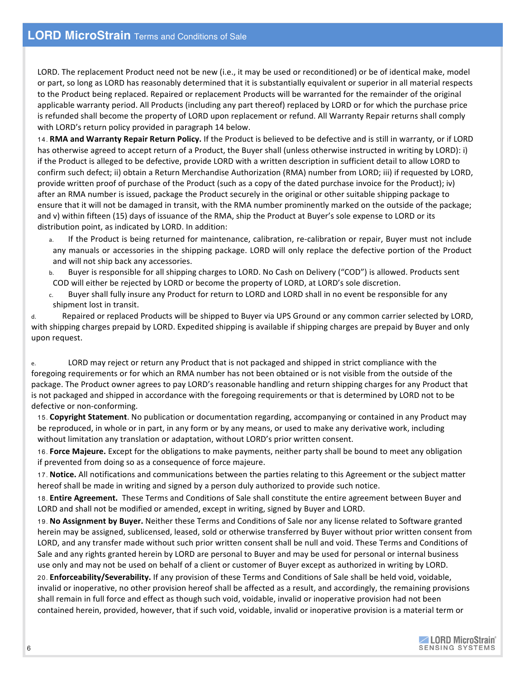LORD. The replacement Product need not be new (i.e., it may be used or reconditioned) or be of identical make, model or part, so long as LORD has reasonably determined that it is substantially equivalent or superior in all material respects to the Product being replaced. Repaired or replacement Products will be warranted for the remainder of the original applicable warranty period. All Products (including any part thereof) replaced by LORD or for which the purchase price is refunded shall become the property of LORD upon replacement or refund. All Warranty Repair returns shall comply with LORD's return policy provided in paragraph 14 below.

14. **RMA and Warranty Repair Return Policy.** If the Product is believed to be defective and is still in warranty, or if LORD has otherwise agreed to accept return of a Product, the Buyer shall (unless otherwise instructed in writing by LORD): i) if the Product is alleged to be defective, provide LORD with a written description in sufficient detail to allow LORD to confirm such defect; ii) obtain a Return Merchandise Authorization (RMA) number from LORD; iii) if requested by LORD, provide written proof of purchase of the Product (such as a copy of the dated purchase invoice for the Product); iv) after an RMA number is issued, package the Product securely in the original or other suitable shipping package to ensure that it will not be damaged in transit, with the RMA number prominently marked on the outside of the package; and v) within fifteen (15) days of issuance of the RMA, ship the Product at Buyer's sole expense to LORD or its distribution point, as indicated by LORD. In addition:

- a. If the Product is being returned for maintenance, calibration, re-calibration or repair, Buyer must not include any manuals or accessories in the shipping package. LORD will only replace the defective portion of the Product and will not ship back any accessories.
- b. Buyer is responsible for all shipping charges to LORD. No Cash on Delivery ("COD") is allowed. Products sent COD will either be rejected by LORD or become the property of LORD, at LORD's sole discretion.
- c. Buyer shall fully insure any Product for return to LORD and LORD shall in no event be responsible for any shipment lost in transit.

d. Repaired or replaced Products will be shipped to Buyer via UPS Ground or any common carrier selected by LORD, with shipping charges prepaid by LORD. Expedited shipping is available if shipping charges are prepaid by Buyer and only upon request.

e. LORD may reject or return any Product that is not packaged and shipped in strict compliance with the foregoing requirements or for which an RMA number has not been obtained or is not visible from the outside of the package. The Product owner agrees to pay LORD's reasonable handling and return shipping charges for any Product that is not packaged and shipped in accordance with the foregoing requirements or that is determined by LORD not to be defective or non-conforming.

15. **Copyright Statement**. No publication or documentation regarding, accompanying or contained in any Product may be reproduced, in whole or in part, in any form or by any means, or used to make any derivative work, including without limitation any translation or adaptation, without LORD's prior written consent.

16. Force Majeure. Except for the obligations to make payments, neither party shall be bound to meet any obligation if prevented from doing so as a consequence of force majeure.

17. Notice. All notifications and communications between the parties relating to this Agreement or the subject matter hereof shall be made in writing and signed by a person duly authorized to provide such notice.

18. **Entire Agreement.** These Terms and Conditions of Sale shall constitute the entire agreement between Buyer and LORD and shall not be modified or amended, except in writing, signed by Buyer and LORD.

19. No Assignment by Buyer. Neither these Terms and Conditions of Sale nor any license related to Software granted herein may be assigned, sublicensed, leased, sold or otherwise transferred by Buyer without prior written consent from LORD, and any transfer made without such prior written consent shall be null and void. These Terms and Conditions of Sale and any rights granted herein by LORD are personal to Buyer and may be used for personal or internal business use only and may not be used on behalf of a client or customer of Buyer except as authorized in writing by LORD.

20. **Enforceability/Severability.** If any provision of these Terms and Conditions of Sale shall be held void, voidable, invalid or inoperative, no other provision hereof shall be affected as a result, and accordingly, the remaining provisions shall remain in full force and effect as though such void, voidable, invalid or inoperative provision had not been contained herein, provided, however, that if such void, voidable, invalid or inoperative provision is a material term or